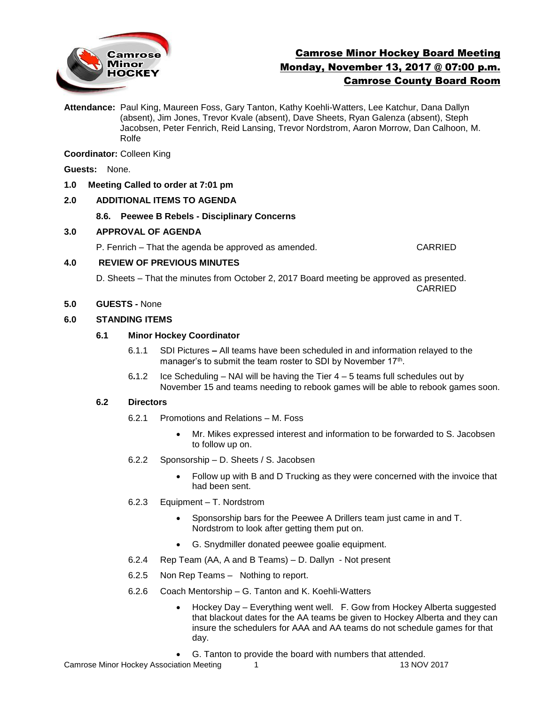

# Camrose Minor Hockey Board Meeting Monday, November 13, 2017 @ 07:00 p.m. Camrose County Board Room

**Attendance:** Paul King, Maureen Foss, Gary Tanton, Kathy Koehli-Watters, Lee Katchur, Dana Dallyn (absent), Jim Jones, Trevor Kvale (absent), Dave Sheets, Ryan Galenza (absent), Steph Jacobsen, Peter Fenrich, Reid Lansing, Trevor Nordstrom, Aaron Morrow, Dan Calhoon, M. Rolfe

**Coordinator:** Colleen King

**Guests:** None.

## **1.0 Meeting Called to order at 7:01 pm**

# **2.0 ADDITIONAL ITEMS TO AGENDA**

**8.6. Peewee B Rebels - Disciplinary Concerns**

## **3.0 APPROVAL OF AGENDA**

P. Fenrich – That the agenda be approved as amended. CARRIED

### **4.0 REVIEW OF PREVIOUS MINUTES**

D. Sheets – That the minutes from October 2, 2017 Board meeting be approved as presented. CARRIED

## **5.0 GUESTS -** None

## **6.0 STANDING ITEMS**

## **6.1 Minor Hockey Coordinator**

- 6.1.1 SDI Pictures **–** All teams have been scheduled in and information relayed to the manager's to submit the team roster to SDI by November 17<sup>th</sup>.
- 6**.**1.2 Ice Scheduling NAI will be having the Tier 4 5 teams full schedules out by November 15 and teams needing to rebook games will be able to rebook games soon.

### **6.2 Directors**

- 6.2.1 Promotions and Relations M. Foss
	- Mr. Mikes expressed interest and information to be forwarded to S. Jacobsen to follow up on.
- 6.2.2 Sponsorship D. Sheets / S. Jacobsen
	- Follow up with B and D Trucking as they were concerned with the invoice that had been sent.
- 6.2.3 Equipment T. Nordstrom
	- Sponsorship bars for the Peewee A Drillers team just came in and T. Nordstrom to look after getting them put on.
	- G. Snydmiller donated peewee goalie equipment.
- 6.2.4 Rep Team (AA, A and B Teams) D. Dallyn Not present
- 6.2.5 Non Rep Teams Nothing to report.
- 6.2.6 Coach Mentorship G. Tanton and K. Koehli-Watters
	- Hockey Day Everything went well. F. Gow from Hockey Alberta suggested that blackout dates for the AA teams be given to Hockey Alberta and they can insure the schedulers for AAA and AA teams do not schedule games for that day.
	- G. Tanton to provide the board with numbers that attended.